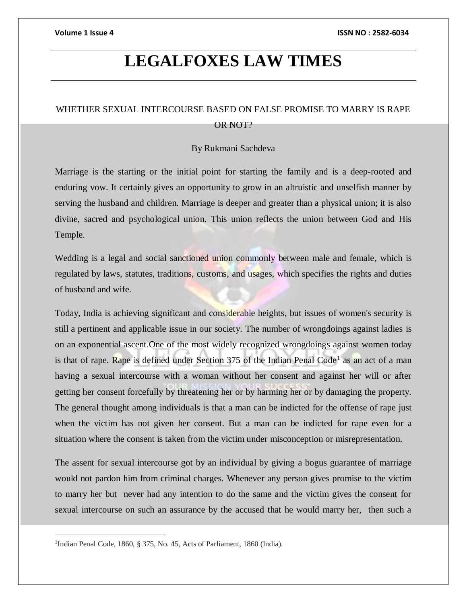# **LEGALFOXES LAW TIMES**

## WHETHER SEXUAL INTERCOURSE BASED ON FALSE PROMISE TO MARRY IS RAPE OR NOT?

### By Rukmani Sachdeva

Marriage is the starting or the initial point for starting the family and is a deep-rooted and enduring vow. It certainly gives an opportunity to grow in an altruistic and unselfish manner by serving the husband and children. Marriage is deeper and greater than a physical union; it is also divine, sacred and psychological union. This union reflects the union between God and His Temple.

Wedding is a legal and social sanctioned union commonly between male and female, which is regulated by laws, statutes, traditions, customs, and usages, which specifies the rights and duties of husband and wife.

Today, India is achieving significant and considerable heights, but issues of women's security is still a pertinent and applicable issue in our society. The number of wrongdoings against ladies is on an exponential ascent.One of the most widely recognized wrongdoings against women today is that of rape. Rape is defined under Section 375 of the Indian Penal Code<sup>1</sup> as an act of a man having a sexual intercourse with a woman without her consent and against her will or after getting her consent forcefully by threatening her or by harming her or by damaging the property. The general thought among individuals is that a man can be indicted for the offense of rape just when the victim has not given her consent. But a man can be indicted for rape even for a situation where the consent is taken from the victim under misconception or misrepresentation.

The assent for sexual intercourse got by an individual by giving a bogus guarantee of marriage would not pardon him from criminal charges. Whenever any person gives promise to the victim to marry her but never had any intention to do the same and the victim gives the consent for sexual intercourse on such an assurance by the accused that he would marry her, then such a

 $\overline{a}$ 

<sup>&</sup>lt;sup>1</sup>Indian Penal Code, 1860, § 375, No. 45, Acts of Parliament, 1860 (India).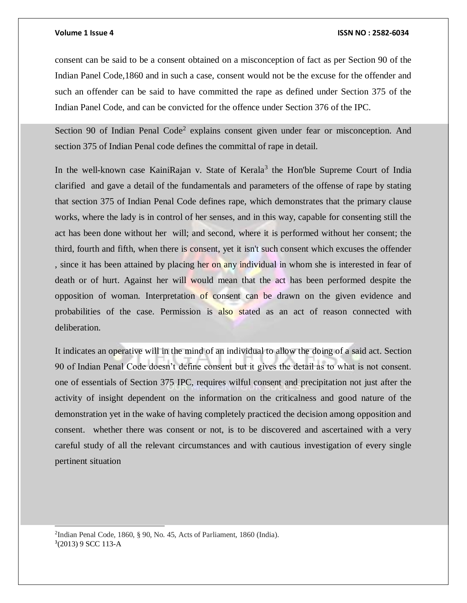### **Volume 1 Issue 4 ISSN NO : 2582-6034**

consent can be said to be a consent obtained on a misconception of fact as per Section 90 of the Indian Panel Code,1860 and in such a case, consent would not be the excuse for the offender and such an offender can be said to have committed the rape as defined under Section 375 of the Indian Panel Code, and can be convicted for the offence under Section 376 of the IPC.

Section 90 of Indian Penal Code<sup>2</sup> explains consent given under fear or misconception. And section 375 of Indian Penal code defines the committal of rape in detail.

In the well-known case KainiRajan v. State of Kerala<sup>3</sup> the Hon'ble Supreme Court of India clarified and gave a detail of the fundamentals and parameters of the offense of rape by stating that section 375 of Indian Penal Code defines rape, which demonstrates that the primary clause works, where the lady is in control of her senses, and in this way, capable for consenting still the act has been done without her will; and second, where it is performed without her consent; the third, fourth and fifth, when there is consent, yet it isn't such consent which excuses the offender , since it has been attained by placing her on any individual in whom she is interested in fear of death or of hurt. Against her will would mean that the act has been performed despite the opposition of woman. Interpretation of consent can be drawn on the given evidence and probabilities of the case. Permission is also stated as an act of reason connected with deliberation.

It indicates an operative will in the mind of an individual to allow the doing of a said act. Section 90 of Indian Penal Code doesn't define consent but it gives the detail as to what is not consent. one of essentials of Section 375 IPC, requires wilful consent and precipitation not just after the activity of insight dependent on the information on the criticalness and good nature of the demonstration yet in the wake of having completely practiced the decision among opposition and consent. whether there was consent or not, is to be discovered and ascertained with a very careful study of all the relevant circumstances and with cautious investigation of every single pertinent situation

2 Indian Penal Code, 1860, § 90, No. 45, Acts of Parliament, 1860 (India). 3 (2013) 9 SCC 113-A

l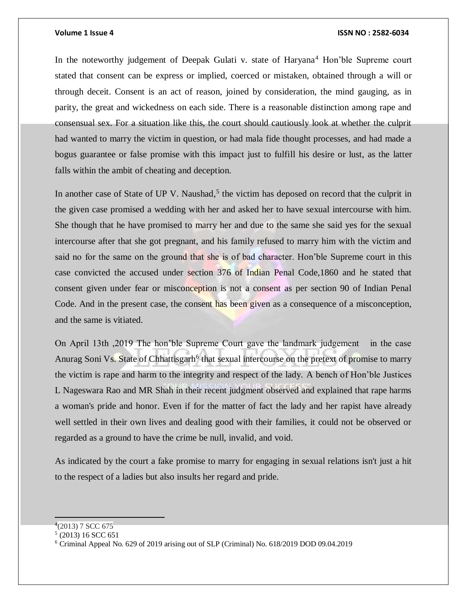### **Volume 1 Issue 4 ISSN NO : 2582-6034**

In the noteworthy judgement of Deepak Gulati v. state of Haryana<sup>4</sup> Hon'ble Supreme court stated that consent can be express or implied, coerced or mistaken, obtained through a will or through deceit. Consent is an act of reason, joined by consideration, the mind gauging, as in parity, the great and wickedness on each side. There is a reasonable distinction among rape and consensual sex. For a situation like this, the court should cautiously look at whether the culprit had wanted to marry the victim in question, or had mala fide thought processes, and had made a bogus guarantee or false promise with this impact just to fulfill his desire or lust, as the latter falls within the ambit of cheating and deception.

In another case of State of UP V. Naushad,<sup>5</sup> the victim has deposed on record that the culprit in the given case promised a wedding with her and asked her to have sexual intercourse with him. She though that he have promised to marry her and due to the same she said yes for the sexual intercourse after that she got pregnant, and his family refused to marry him with the victim and said no for the same on the ground that she is of bad character. Hon'ble Supreme court in this case convicted the accused under section 376 of Indian Penal Code,1860 and he stated that consent given under fear or misconception is not a consent as per section 90 of Indian Penal Code. And in the present case, the consent has been given as a consequence of a misconception, and the same is vitiated.

On April 13th ,2019 The hon'ble Supreme Court gave the landmark judgement in the case Anurag Soni Vs. State of Chhattisgarh<sup>6</sup> that sexual intercourse on the pretext of promise to marry the victim is rape and harm to the integrity and respect of the lady. A bench of Hon'ble Justices L Nageswara Rao and MR Shah in their recent judgment observed and explained that rape harms a woman's pride and honor. Even if for the matter of fact the lady and her rapist have already well settled in their own lives and dealing good with their families, it could not be observed or regarded as a ground to have the crime be null, invalid, and void.

As indicated by the court a fake promise to marry for engaging in sexual relations isn't just a hit to the respect of a ladies but also insults her regard and pride.

 $4(2013)$  7 SCC 675

<sup>5</sup> (2013) 16 SCC 651

<sup>6</sup> Criminal Appeal No. 629 of 2019 arising out of SLP (Criminal) No. 618/2019 DOD 09.04.2019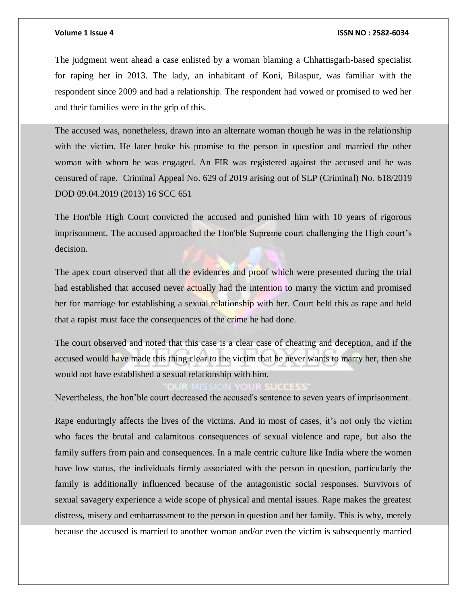### **Volume 1 Issue 4 ISSN NO : 2582-6034**

The judgment went ahead a case enlisted by a woman blaming a Chhattisgarh-based specialist for raping her in 2013. The lady, an inhabitant of Koni, Bilaspur, was familiar with the respondent since 2009 and had a relationship. The respondent had vowed or promised to wed her and their families were in the grip of this.

The accused was, nonetheless, drawn into an alternate woman though he was in the relationship with the victim. He later broke his promise to the person in question and married the other woman with whom he was engaged. An FIR was registered against the accused and he was censured of rape. Criminal Appeal No. 629 of 2019 arising out of SLP (Criminal) No. 618/2019 DOD 09.04.2019 (2013) 16 SCC 651

The Hon'ble High Court convicted the accused and punished him with 10 years of rigorous imprisonment. The accused approached the Hon'ble Supreme court challenging the High court's decision.

The apex court observed that all the evidences and proof which were presented during the trial had established that accused never actually had the intention to marry the victim and promised her for marriage for establishing a sexual relationship with her. Court held this as rape and held that a rapist must face the consequences of the crime he had done.

The court observed and noted that this case is a clear case of cheating and deception, and if the accused would have made this thing clear to the victim that he never wants to marry her, then she would not have established a sexual relationship with him.

*COSSS* 

Nevertheless, the hon'ble court decreased the accused's sentence to seven years of imprisonment.

Rape enduringly affects the lives of the victims. And in most of cases, it's not only the victim who faces the brutal and calamitous consequences of sexual violence and rape, but also the family suffers from pain and consequences. In a male centric culture like India where the women have low status, the individuals firmly associated with the person in question, particularly the family is additionally influenced because of the antagonistic social responses. Survivors of sexual savagery experience a wide scope of physical and mental issues. Rape makes the greatest distress, misery and embarrassment to the person in question and her family. This is why, merely because the accused is married to another woman and/or even the victim is subsequently married